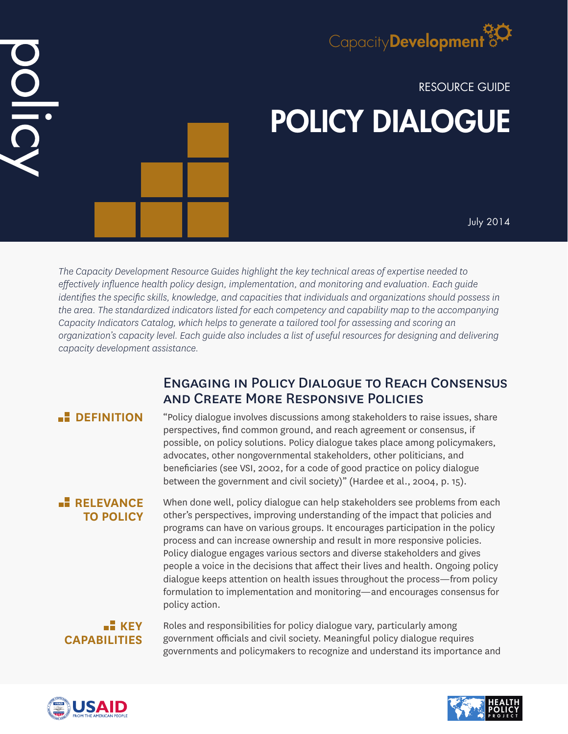# DIDI

# Capacity Development<sup>3</sup>

RESOURCE GUIDE POLICY DIALOGUE

July 2014

*The Capacity Development Resource Guides highlight the key technical areas of expertise needed to effectively influence health policy design, implementation, and monitoring and evaluation. Each guide identifies the specific skills, knowledge, and capacities that individuals and organizations should possess in the area. The standardized indicators listed for each competency and capability map to the accompanying Capacity Indicators Catalog, which helps to generate a tailored tool for assessing and scoring an organization's capacity level. Each guide also includes a list of useful resources for designing and delivering capacity development assistance.*

## Engaging in Policy Dialogue to Reach Consensus and Create More Responsive Policies

## **E** DEFINITION

"Policy dialogue involves discussions among stakeholders to raise issues, share perspectives, find common ground, and reach agreement or consensus, if possible, on policy solutions. Policy dialogue takes place among policymakers, advocates, other nongovernmental stakeholders, other politicians, and beneficiaries (see VSI, 2002, for a code of good practice on policy dialogue between the government and civil society)" (Hardee et al., 2004, p. 15).

### **RELEVANCE TO POLICY**

When done well, policy dialogue can help stakeholders see problems from each other's perspectives, improving understanding of the impact that policies and programs can have on various groups. It encourages participation in the policy process and can increase ownership and result in more responsive policies. Policy dialogue engages various sectors and diverse stakeholders and gives people a voice in the decisions that affect their lives and health. Ongoing policy dialogue keeps attention on health issues throughout the process—from policy formulation to implementation and monitoring—and encourages consensus for policy action.

### **KEY CAPABILITIES**

Roles and responsibilities for policy dialogue vary, particularly among government officials and civil society. Meaningful policy dialogue requires governments and policymakers to recognize and understand its importance and



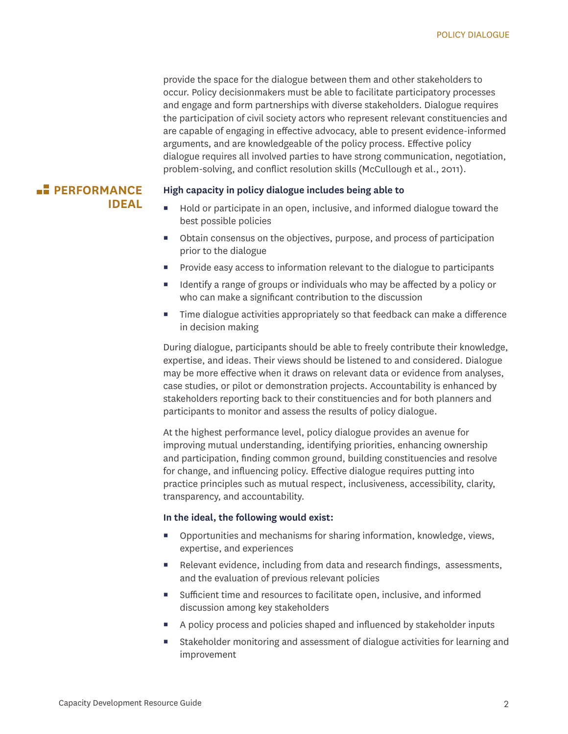provide the space for the dialogue between them and other stakeholders to occur. Policy decisionmakers must be able to facilitate participatory processes and engage and form partnerships with diverse stakeholders. Dialogue requires the participation of civil society actors who represent relevant constituencies and are capable of engaging in effective advocacy, able to present evidence-informed arguments, and are knowledgeable of the policy process. Effective policy dialogue requires all involved parties to have strong communication, negotiation, problem-solving, and conflict resolution skills (McCullough et al., 2011).

### **PERFORMANCE IDEAL**

### **High capacity in policy dialogue includes being able to**

- Hold or participate in an open, inclusive, and informed dialogue toward the best possible policies
- Obtain consensus on the objectives, purpose, and process of participation prior to the dialogue
- **Provide easy access to information relevant to the dialogue to participants**
- Identify a range of groups or individuals who may be affected by a policy or who can make a significant contribution to the discussion
- **Time dialogue activities appropriately so that feedback can make a difference** in decision making

During dialogue, participants should be able to freely contribute their knowledge, expertise, and ideas. Their views should be listened to and considered. Dialogue may be more effective when it draws on relevant data or evidence from analyses, case studies, or pilot or demonstration projects. Accountability is enhanced by stakeholders reporting back to their constituencies and for both planners and participants to monitor and assess the results of policy dialogue.

At the highest performance level, policy dialogue provides an avenue for improving mutual understanding, identifying priorities, enhancing ownership and participation, finding common ground, building constituencies and resolve for change, and influencing policy. Effective dialogue requires putting into practice principles such as mutual respect, inclusiveness, accessibility, clarity, transparency, and accountability.

### **In the ideal, the following would exist:**

- **•** Opportunities and mechanisms for sharing information, knowledge, views, expertise, and experiences
- Relevant evidence, including from data and research findings, assessments, and the evaluation of previous relevant policies
- Sufficient time and resources to facilitate open, inclusive, and informed discussion among key stakeholders
- A policy process and policies shaped and influenced by stakeholder inputs
- Stakeholder monitoring and assessment of dialogue activities for learning and improvement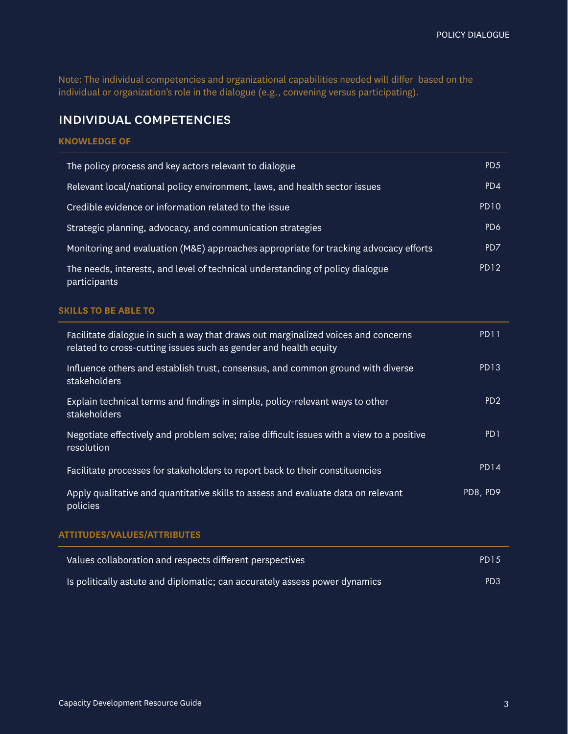Note: The individual competencies and organizational capabilities needed will differ based on the individual or organization's role in the dialogue (e.g., convening versus participating).

### individual competencies

### **KNOWLEDGE OF**

| The policy process and key actors relevant to dialogue                                        | PD <sub>5</sub>  |
|-----------------------------------------------------------------------------------------------|------------------|
| Relevant local/national policy environment, laws, and health sector issues                    | PD4              |
| Credible evidence or information related to the issue                                         | <b>PD10</b>      |
| Strategic planning, advocacy, and communication strategies                                    | PD <sub>6</sub>  |
| Monitoring and evaluation (M&E) approaches appropriate for tracking advocacy efforts          | PD7              |
| The needs, interests, and level of technical understanding of policy dialogue<br>participants | PD <sub>12</sub> |

### **SKILLS TO BE ABLE TO**

| Facilitate dialogue in such a way that draws out marginalized voices and concerns<br>related to cross-cutting issues such as gender and health equity | PD <sub>11</sub>            |
|-------------------------------------------------------------------------------------------------------------------------------------------------------|-----------------------------|
| Influence others and establish trust, consensus, and common ground with diverse<br>stakeholders                                                       | <b>PD13</b>                 |
| Explain technical terms and findings in simple, policy-relevant ways to other<br>stakeholders                                                         | PD <sub>2</sub>             |
| Negotiate effectively and problem solve; raise difficult issues with a view to a positive<br>resolution                                               | P <sub>D</sub> <sub>1</sub> |
| Facilitate processes for stakeholders to report back to their constituencies                                                                          | <b>PD14</b>                 |
| Apply qualitative and quantitative skills to assess and evaluate data on relevant<br>policies                                                         | PD8, PD9                    |
| <b>ATTITUDES/VALUES/ATTRIBUTES</b>                                                                                                                    |                             |

| Values collaboration and respects different perspectives                   | <b>PD15</b>     |
|----------------------------------------------------------------------------|-----------------|
| Is politically astute and diplomatic; can accurately assess power dynamics | PD <sub>3</sub> |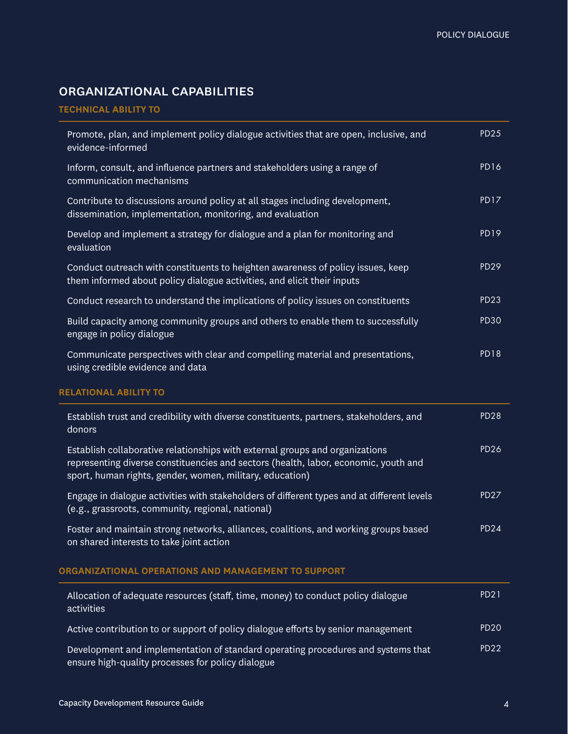### organizational capabilities

### **TECHNICAL ABILITY TO**

| Promote, plan, and implement policy dialogue activities that are open, inclusive, and<br>evidence-informed                                                                                                                      | <b>PD25</b>      |
|---------------------------------------------------------------------------------------------------------------------------------------------------------------------------------------------------------------------------------|------------------|
| Inform, consult, and influence partners and stakeholders using a range of<br>communication mechanisms                                                                                                                           | <b>PD16</b>      |
| Contribute to discussions around policy at all stages including development,<br>dissemination, implementation, monitoring, and evaluation                                                                                       | <b>PD17</b>      |
| Develop and implement a strategy for dialogue and a plan for monitoring and<br>evaluation                                                                                                                                       | <b>PD19</b>      |
| Conduct outreach with constituents to heighten awareness of policy issues, keep<br>them informed about policy dialogue activities, and elicit their inputs                                                                      | <b>PD29</b>      |
| Conduct research to understand the implications of policy issues on constituents                                                                                                                                                | PD <sub>23</sub> |
| Build capacity among community groups and others to enable them to successfully<br>engage in policy dialogue                                                                                                                    | <b>PD30</b>      |
| Communicate perspectives with clear and compelling material and presentations,<br>using credible evidence and data                                                                                                              | <b>PD18</b>      |
| <b>RELATIONAL ABILITY TO</b>                                                                                                                                                                                                    |                  |
| Establish trust and credibility with diverse constituents, partners, stakeholders, and<br>donors                                                                                                                                | <b>PD28</b>      |
| Establish collaborative relationships with external groups and organizations<br>representing diverse constituencies and sectors (health, labor, economic, youth and<br>sport, human rights, gender, women, military, education) | <b>PD26</b>      |

Engage in dialogue activities with stakeholders of different types and at different levels (e.g., grassroots, community, regional, national) PD27

Foster and maintain strong networks, alliances, coalitions, and working groups based on shared interests to take joint action PD24

### **ORGANIZATIONAL OPERATIONS AND MANAGEMENT TO SUPPORT**

| Allocation of adequate resources (staff, time, money) to conduct policy dialogue<br>activities                                        | <b>PD21</b>      |
|---------------------------------------------------------------------------------------------------------------------------------------|------------------|
| Active contribution to or support of policy dialogue efforts by senior management                                                     | PD <sub>20</sub> |
| Development and implementation of standard operating procedures and systems that<br>ensure high-quality processes for policy dialogue | PD <sub>22</sub> |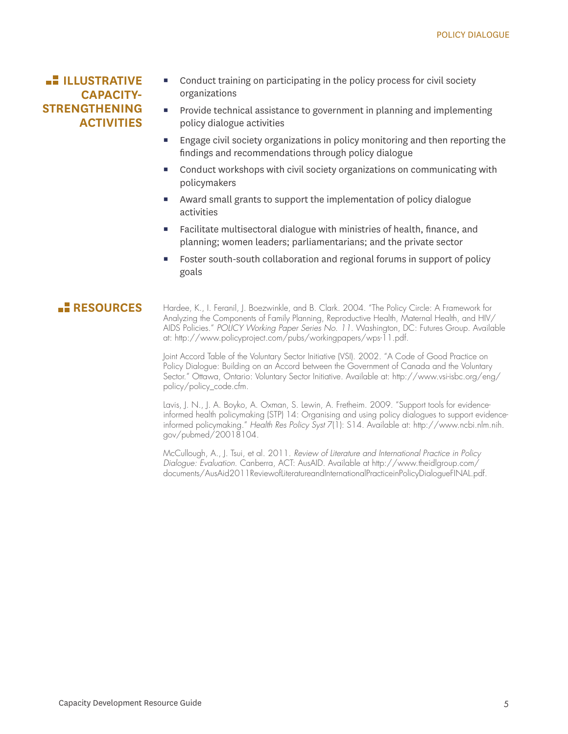### **ILLUSTRATIVE CAPACITY-STRENGTHENING ACTIVITIES**

- Conduct training on participating in the policy process for civil society organizations
- Provide technical assistance to government in planning and implementing policy dialogue activities
- Engage civil society organizations in policy monitoring and then reporting the findings and recommendations through policy dialogue
- Conduct workshops with civil society organizations on communicating with policymakers
- Award small grants to support the implementation of policy dialogue activities
- Facilitate multisectoral dialogue with ministries of health, finance, and planning; women leaders; parliamentarians; and the private sector
- Foster south-south collaboration and regional forums in support of policy goals

**RESOURCES** Hardee, K., I. Feranil, J. Boezwinkle, and B. Clark. 2004. "The Policy Circle: A Framework for Analyzing the Components of Family Planning, Reproductive Health, Maternal Health, and HIV/ AIDS Policies." *POLICY Working Paper Series No. 11*. Washington, DC: Futures Group. Available at: http://www.policyproject.com/pubs/workingpapers/wps-11.pdf.

> Joint Accord Table of the Voluntary Sector Initiative (VSI). 2002. "A Code of Good Practice on Policy Dialogue: Building on an Accord between the Government of Canada and the Voluntary Sector." Ottawa, Ontario: Voluntary Sector Initiative. Available at: http://www.vsi-isbc.org/eng/ policy/policy\_code.cfm.

Lavis, J. N., J. A. Boyko, A. Oxman, S. Lewin, A. Fretheim. 2009. "Support tools for evidenceinformed health policymaking (STP) 14: Organising and using policy dialogues to support evidenceinformed policymaking." *Health Res Policy Syst* 7(1): S14. Available at: http://www.ncbi.nlm.nih. gov/pubmed/20018104.

McCullough, A., J. Tsui, et al. 2011. *Review of Literature and International Practice in Policy Dialogue: Evaluation*. Canberra, ACT: AusAID. Available at http://www.theidlgroup.com/ documents/AusAid2011ReviewofLiteratureandInternationalPracticeinPolicyDialogueFINAL.pdf.